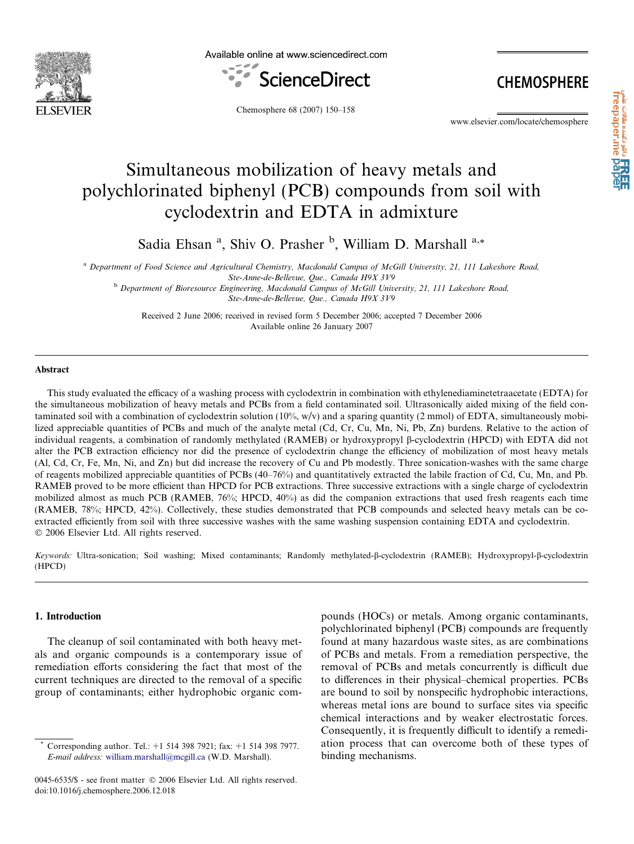

Available online at www.sciencedirect.com



**CHEMOSPHERE** 

Chemosphere 68 (2007) 150–158

www.elsevier.com/locate/chemosphere

# Simultaneous mobilization of heavy metals and polychlorinated biphenyl (PCB) compounds from soil with cyclodextrin and EDTA in admixture

Sadia Ehsan<sup>a</sup>, Shiv O. Prasher<sup>b</sup>, William D. Marshall<sup>a,\*</sup>

<sup>a</sup> Department of Food Science and Agricultural Chemistry, Macdonald Campus of McGill University, 21, 111 Lakeshore Road, Ste-Anne-de-Bellevue, Que., Canada H9X 3V9

<sup>b</sup> Department of Bioresource Engineering, Macdonald Campus of McGill University, 21, 111 Lakeshore Road, Ste-Anne-de-Bellevue, Que., Canada H9X 3V9

Received 2 June 2006; received in revised form 5 December 2006; accepted 7 December 2006 Available online 26 January 2007

## Abstract

This study evaluated the efficacy of a washing process with cyclodextrin in combination with ethylenediaminetetraacetate (EDTA) for the simultaneous mobilization of heavy metals and PCBs from a field contaminated soil. Ultrasonically aided mixing of the field contaminated soil with a combination of cyclodextrin solution (10%, w/v) and a sparing quantity (2 mmol) of EDTA, simultaneously mobilized appreciable quantities of PCBs and much of the analyte metal (Cd, Cr, Cu, Mn, Ni, Pb, Zn) burdens. Relative to the action of individual reagents, a combination of randomly methylated (RAMEB) or hydroxypropyl b-cyclodextrin (HPCD) with EDTA did not alter the PCB extraction efficiency nor did the presence of cyclodextrin change the efficiency of mobilization of most heavy metals (Al, Cd, Cr, Fe, Mn, Ni, and Zn) but did increase the recovery of Cu and Pb modestly. Three sonication-washes with the same charge of reagents mobilized appreciable quantities of PCBs (40–76%) and quantitatively extracted the labile fraction of Cd, Cu, Mn, and Pb. RAMEB proved to be more efficient than HPCD for PCB extractions. Three successive extractions with a single charge of cyclodextrin mobilized almost as much PCB (RAMEB, 76%; HPCD, 40%) as did the companion extractions that used fresh reagents each time (RAMEB, 78%; HPCD, 42%). Collectively, these studies demonstrated that PCB compounds and selected heavy metals can be coextracted efficiently from soil with three successive washes with the same washing suspension containing EDTA and cyclodextrin.  $© 2006 Elsevier Ltd. All rights reserved.$ 

Keywords: Ultra-sonication; Soil washing; Mixed contaminants; Randomly methylated- $\beta$ -cyclodextrin (RAMEB); Hydroxypropyl- $\beta$ -cyclodextrin (HPCD)

# 1. Introduction

The cleanup of soil contaminated with both heavy metals and organic compounds is a contemporary issue of remediation efforts considering the fact that most of the current techniques are directed to the removal of a specific group of contaminants; either hydrophobic organic compounds (HOCs) or metals. Among organic contaminants, polychlorinated biphenyl (PCB) compounds are frequently found at many hazardous waste sites, as are combinations of PCBs and metals. From a remediation perspective, the removal of PCBs and metals concurrently is difficult due to differences in their physical–chemical properties. PCBs are bound to soil by nonspecific hydrophobic interactions, whereas metal ions are bound to surface sites via specific chemical interactions and by weaker electrostatic forces. Consequently, it is frequently difficult to identify a remediation process that can overcome both of these types of binding mechanisms.

<sup>\*</sup> Corresponding author. Tel.: +1 514 398 7921; fax: +1 514 398 7977. E-mail address: [william.marshall@mcgill.ca](mailto:william.marshall@mcgill.ca) (W.D. Marshall).

<sup>0045-6535/\$ -</sup> see front matter © 2006 Elsevier Ltd. All rights reserved. doi:10.1016/j.chemosphere.2006.12.018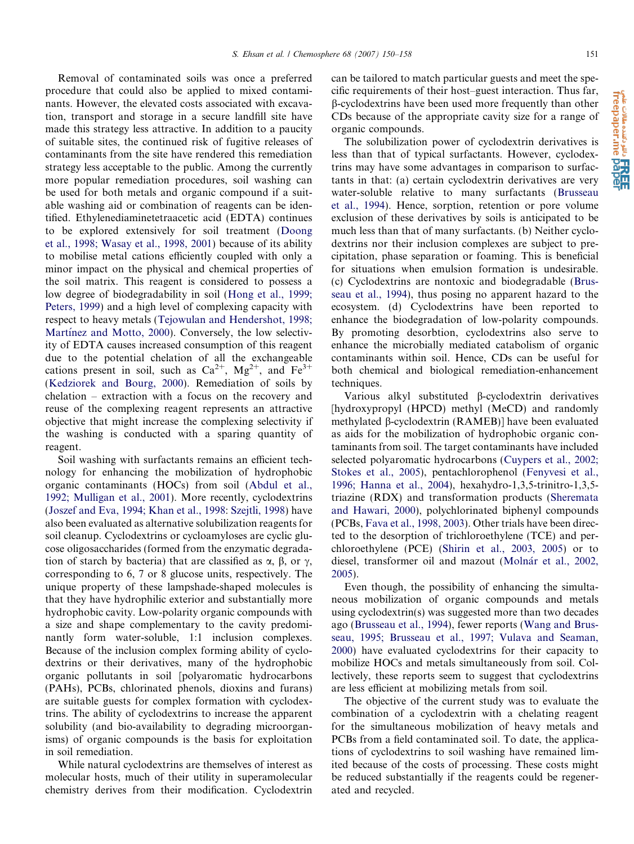Removal of contaminated soils was once a preferred procedure that could also be applied to mixed contaminants. However, the elevated costs associated with excavation, transport and storage in a secure landfill site have made this strategy less attractive. In addition to a paucity of suitable sites, the continued risk of fugitive releases of contaminants from the site have rendered this remediation strategy less acceptable to the public. Among the currently more popular remediation procedures, soil washing can be used for both metals and organic compound if a suitable washing aid or combination of reagents can be identified. Ethylenediaminetetraacetic acid (EDTA) continues to be explored extensively for soil treatment ([Doong](#page-7-0) [et al., 1998; Wasay et al., 1998, 2001](#page-7-0)) because of its ability to mobilise metal cations efficiently coupled with only a minor impact on the physical and chemical properties of the soil matrix. This reagent is considered to possess a low degree of biodegradability in soil [\(Hong et al., 1999;](#page-8-0) [Peters, 1999](#page-8-0)) and a high level of complexing capacity with respect to heavy metals [\(Tejowulan and Hendershot, 1998;](#page-8-0) Martínez and Motto, 2000). Conversely, the low selectivity of EDTA causes increased consumption of this reagent due to the potential chelation of all the exchangeable cations present in soil, such as  $Ca^{2+}$ ,  $Mg^{2+}$ , and  $Fe^{3+}$ ([Kedziorek and Bourg, 2000](#page-8-0)). Remediation of soils by chelation – extraction with a focus on the recovery and reuse of the complexing reagent represents an attractive objective that might increase the complexing selectivity if the washing is conducted with a sparing quantity of reagent.

Soil washing with surfactants remains an efficient technology for enhancing the mobilization of hydrophobic organic contaminants (HOCs) from soil [\(Abdul et al.,](#page-7-0) [1992; Mulligan et al., 2001](#page-7-0)). More recently, cyclodextrins ([Joszef and Eva, 1994; Khan et al., 1998:](#page-8-0) [Szejtli, 1998\)](#page-8-0) have also been evaluated as alternative solubilization reagents for soil cleanup. Cyclodextrins or cycloamyloses are cyclic glucose oligosaccharides (formed from the enzymatic degradation of starch by bacteria) that are classified as  $\alpha$ ,  $\beta$ , or  $\gamma$ , corresponding to 6, 7 or 8 glucose units, respectively. The unique property of these lampshade-shaped molecules is that they have hydrophilic exterior and substantially more hydrophobic cavity. Low-polarity organic compounds with a size and shape complementary to the cavity predominantly form water-soluble, 1:1 inclusion complexes. Because of the inclusion complex forming ability of cyclodextrins or their derivatives, many of the hydrophobic organic pollutants in soil [polyaromatic hydrocarbons (PAHs), PCBs, chlorinated phenols, dioxins and furans) are suitable guests for complex formation with cyclodextrins. The ability of cyclodextrins to increase the apparent solubility (and bio-availability to degrading microorganisms) of organic compounds is the basis for exploitation in soil remediation.

While natural cyclodextrins are themselves of interest as molecular hosts, much of their utility in superamolecular chemistry derives from their modification. Cyclodextrin can be tailored to match particular guests and meet the specific requirements of their host–guest interaction. Thus far, b-cyclodextrins have been used more frequently than other CDs because of the appropriate cavity size for a range of organic compounds.

The solubilization power of cyclodextrin derivatives is less than that of typical surfactants. However, cyclodextrins may have some advantages in comparison to surfactants in that: (a) certain cyclodextrin derivatives are very water-soluble relative to many surfactants (Brusseau et al., 1994). Hence, sorption, retention or pore volume exclusion of these derivatives by soils is anticipated to be much less than that of many surfactants. (b) Neither cyclodextrins nor their inclusion complexes are subject to precipitation, phase separation or foaming. This is beneficial for situations when emulsion formation is undesirable. (c) Cyclodextrins are nontoxic and biodegradable (Brusseau et al., 1994), thus posing no apparent hazard to the ecosystem. (d) Cyclodextrins have been reported to enhance the biodegradation of low-polarity compounds. By promoting desorbtion, cyclodextrins also serve to enhance the microbially mediated catabolism of organic contaminants within soil. Hence, CDs can be useful for both chemical and biological remediation-enhancement techniques.

Various alkyl substituted  $\beta$ -cyclodextrin derivatives [hydroxypropyl (HPCD) methyl (MeCD) and randomly methylated b-cyclodextrin (RAMEB)] have been evaluated as aids for the mobilization of hydrophobic organic contaminants from soil. The target contaminants have included selected polyaromatic hydrocarbons ([Cuypers et al., 2002;](#page-7-0) [Stokes et al., 2005](#page-7-0)), pentachlorophenol ([Fenyvesi et al.,](#page-8-0) [1996; Hanna et al., 2004\)](#page-8-0), hexahydro-1,3,5-trinitro-1,3,5 triazine (RDX) and transformation products [\(Sheremata](#page-8-0) [and Hawari, 2000\)](#page-8-0), polychlorinated biphenyl compounds (PCBs, [Fava et al., 1998, 2003](#page-8-0)). Other trials have been directed to the desorption of trichloroethylene (TCE) and perchloroethylene (PCE) ([Shirin et al., 2003, 2005](#page-8-0)) or to diesel, transformer oil and mazout (Molnár et al., 2002, [2005](#page-8-0)).

Even though, the possibility of enhancing the simultaneous mobilization of organic compounds and metals using cyclodextrin(s) was suggested more than two decades ago (Brusseau et al., 1994), fewer reports [\(Wang and Brus](#page-8-0)[seau, 1995; Brusseau et al., 1997; Vulava and Seaman,](#page-8-0) [2000](#page-8-0)) have evaluated cyclodextrins for their capacity to mobilize HOCs and metals simultaneously from soil. Collectively, these reports seem to suggest that cyclodextrins are less efficient at mobilizing metals from soil.

The objective of the current study was to evaluate the combination of a cyclodextrin with a chelating reagent for the simultaneous mobilization of heavy metals and PCBs from a field contaminated soil. To date, the applications of cyclodextrins to soil washing have remained limited because of the costs of processing. These costs might be reduced substantially if the reagents could be regenerated and recycled.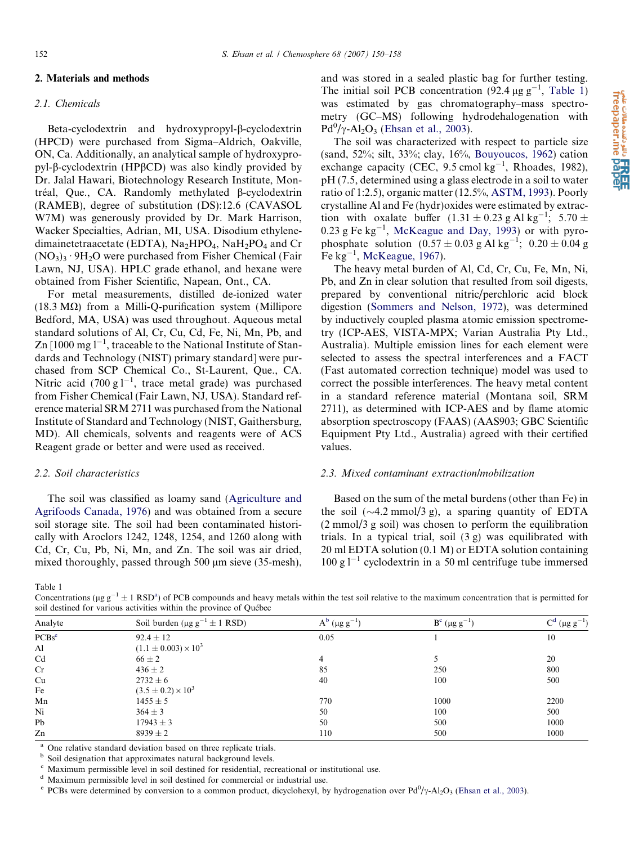# <span id="page-2-0"></span>2. Materials and methods

#### 2.1. Chemicals

Beta-cyclodextrin and hydroxypropyl-B-cyclodextrin (HPCD) were purchased from Sigma–Aldrich, Oakville, ON, Ca. Additionally, an analytical sample of hydroxypropyl- $\beta$ -cyclodextrin (HP $\beta$ CD) was also kindly provided by Dr. Jalal Hawari, Biotechnology Research Institute, Montréal, Que., CA. Randomly methylated B-cyclodextrin (RAMEB), degree of substitution (DS):12.6 (CAVASOL W7M) was generously provided by Dr. Mark Harrison, Wacker Specialties, Adrian, MI, USA. Disodium ethylenedimainetetraacetate (EDTA),  $Na<sub>2</sub>HPO<sub>4</sub>$ ,  $NaH<sub>2</sub>PO<sub>4</sub>$  and Cr  $(NO<sub>3</sub>)<sub>3</sub>·9H<sub>2</sub>O$  were purchased from Fisher Chemical (Fair Lawn, NJ, USA). HPLC grade ethanol, and hexane were obtained from Fisher Scientific, Napean, Ont., CA.

For metal measurements, distilled de-ionized water (18.3 M $\Omega$ ) from a Milli-Q-purification system (Millipore Bedford, MA, USA) was used throughout. Aqueous metal standard solutions of Al, Cr, Cu, Cd, Fe, Ni, Mn, Pb, and Zn [1000 mg  $l^{-1}$ , traceable to the National Institute of Standards and Technology (NIST) primary standard] were purchased from SCP Chemical Co., St-Laurent, Que., CA. Nitric acid (700 g  $l^{-1}$ , trace metal grade) was purchased from Fisher Chemical (Fair Lawn, NJ, USA). Standard reference material SRM 2711 was purchased from the National Institute of Standard and Technology (NIST, Gaithersburg, MD). All chemicals, solvents and reagents were of ACS Reagent grade or better and were used as received.

# 2.2. Soil characteristics

The soil was classified as loamy sand [\(Agriculture and](#page-7-0) [Agrifoods Canada, 1976](#page-7-0)) and was obtained from a secure soil storage site. The soil had been contaminated historically with Aroclors 1242, 1248, 1254, and 1260 along with Cd, Cr, Cu, Pb, Ni, Mn, and Zn. The soil was air dried, mixed thoroughly, passed through  $500 \mu m$  sieve (35-mesh), and was stored in a sealed plastic bag for further testing. The initial soil PCB concentration  $(92.4 \,\mu g \, g^{-1}$ , Table 1) was estimated by gas chromatography–mass spectrometry (GC–MS) following hydrodehalogenation with  $Pd^0/\gamma$ -Al<sub>2</sub>O<sub>3</sub> [\(Ehsan et al., 2003](#page-7-0)).

The soil was characterized with respect to particle size (sand, 52%; silt, 33%; clay, 16%, [Bouyoucos, 1962\)](#page-7-0) cation exchange capacity (CEC, 9.5 cmol kg<sup>-1</sup>, Rhoades, 1982), pH (7.5, determined using a glass electrode in a soil to water ratio of 1:2.5), organic matter (12.5%, [ASTM, 1993](#page-7-0)). Poorly crystalline Al and Fe (hydr)oxides were estimated by extraction with oxalate buffer  $(1.31 \pm 0.23 \text{ g Al kg}^{-1})$ ; 5.70  $\pm$  $0.23$  g Fe kg<sup>-1</sup>, [McKeague and Day, 1993\)](#page-8-0) or with pyrophosphate solution  $(0.57 \pm 0.03 \text{ g Al kg}^{-1})$ ;  $0.20 \pm 0.04 \text{ g}$ Fe  $kg^{-1}$ , [McKeague, 1967](#page-8-0)).

The heavy metal burden of Al, Cd, Cr, Cu, Fe, Mn, Ni, Pb, and Zn in clear solution that resulted from soil digests, prepared by conventional nitric/perchloric acid block digestion ([Sommers and Nelson, 1972\)](#page-8-0), was determined by inductively coupled plasma atomic emission spectrometry (ICP-AES, VISTA-MPX; Varian Australia Pty Ltd., Australia). Multiple emission lines for each element were selected to assess the spectral interferences and a FACT (Fast automated correction technique) model was used to correct the possible interferences. The heavy metal content in a standard reference material (Montana soil, SRM 2711), as determined with ICP-AES and by flame atomic absorption spectroscopy (FAAS) (AAS903; GBC Scientific Equipment Pty Ltd., Australia) agreed with their certified values.

# 2.3. Mixed contaminant extraction/mobilization

Based on the sum of the metal burdens (other than Fe) in the soil  $(\sim 4.2 \text{ mmol}/3 \text{ g})$ , a sparing quantity of EDTA (2 mmol/3 g soil) was chosen to perform the equilibration trials. In a typical trial, soil (3 g) was equilibrated with 20 ml EDTA solution (0.1 M) or EDTA solution containing  $100 \text{ g}$ <sup>1-1</sup> cyclodextrin in a 50 ml centrifuge tube immersed

Table 1

Concentrations ( $\mu$ g g<sup>-1</sup>  $\pm$  1 RSD<sup>a</sup>) of PCB compounds and heavy metals within the test soil relative to the maximum concentration that is permitted for soil destined for various activities within the province of Québec

| Analyte           | Soil burden ( $\mu$ g g <sup>-1</sup> ± 1 RSD) | $A^{b}$ (µg g <sup>-1</sup> ) | $B^{c}$ (µg g <sup>-1</sup> ) | $\frac{1}{2}$ (µg g <sup>-1</sup> ) |  |
|-------------------|------------------------------------------------|-------------------------------|-------------------------------|-------------------------------------|--|
| PCBs <sup>e</sup> | $92.4 \pm 12$                                  | 0.05                          |                               | 10                                  |  |
| Al                | $(1.1 \pm 0.003) \times 10^3$                  |                               |                               |                                     |  |
| Cd                | $66 \pm 2$                                     | 4                             |                               | 20                                  |  |
| Cr                | $436 \pm 2$                                    | 85                            | 250                           | 800                                 |  |
| Cu                | $2732 \pm 6$                                   | 40                            | 100                           | 500                                 |  |
| Fe                | $(3.5 \pm 0.2) \times 10^3$                    |                               |                               |                                     |  |
| Mn                | $1455 \pm 5$                                   | 770                           | 1000                          | 2200                                |  |
| Ni                | $364 \pm 3$                                    | 50                            | 100                           | 500                                 |  |
| Pb                | $17943 \pm 3$                                  | 50                            | 500                           | 1000                                |  |
| Zn                | $8939 \pm 2$                                   | 110                           | 500                           | 1000                                |  |

One relative standard deviation based on three replicate trials.

<sup>b</sup> Soil designation that approximates natural background levels.

<sup>c</sup> Maximum permissible level in soil destined for residential, recreational or institutional use.

<sup>d</sup> Maximum permissible level in soil destined for commercial or industrial use.

<sup>e</sup> PCBs were determined by conversion to a common product, dicyclohexyl, by hydrogenation over  $Pd^0/\gamma$ -Al<sub>2</sub>O<sub>3</sub> ([Ehsan et al., 2003](#page-7-0)).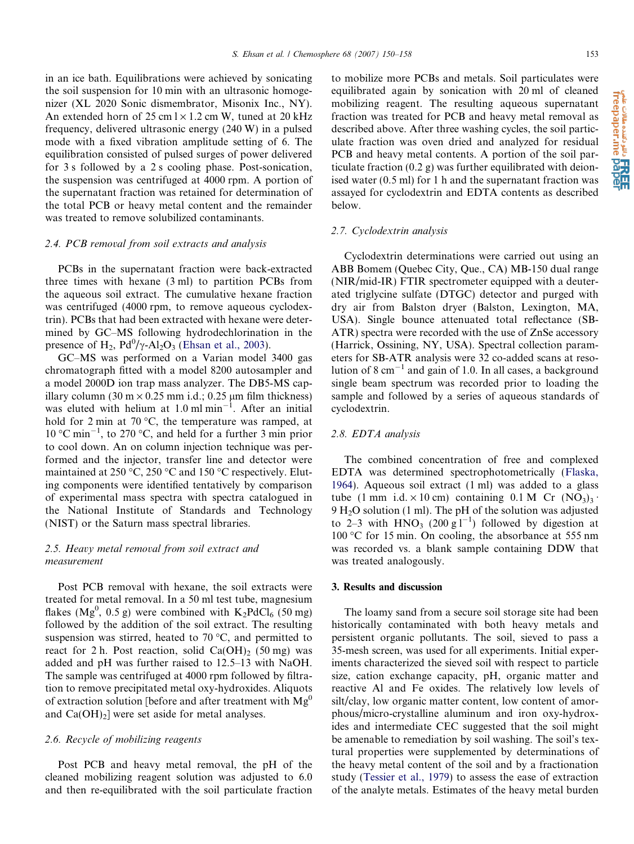in an ice bath. Equilibrations were achieved by sonicating the soil suspension for 10 min with an ultrasonic homogenizer (XL 2020 Sonic dismembrator, Misonix Inc., NY). An extended horn of  $25 \text{ cm} \frac{1}{\times} 1.2 \text{ cm}$  W, tuned at  $20 \text{ kHz}$ frequency, delivered ultrasonic energy (240 W) in a pulsed mode with a fixed vibration amplitude setting of 6. The equilibration consisted of pulsed surges of power delivered for 3 s followed by a 2 s cooling phase. Post-sonication, the suspension was centrifuged at 4000 rpm. A portion of the supernatant fraction was retained for determination of the total PCB or heavy metal content and the remainder was treated to remove solubilized contaminants.

# 2.4. PCB removal from soil extracts and analysis

PCBs in the supernatant fraction were back-extracted three times with hexane (3 ml) to partition PCBs from the aqueous soil extract. The cumulative hexane fraction was centrifuged (4000 rpm, to remove aqueous cyclodextrin). PCBs that had been extracted with hexane were determined by GC–MS following hydrodechlorination in the presence of  $H_2$ ,  $Pd^0/\gamma$ -Al<sub>2</sub>O<sub>3</sub> ([Ehsan et al., 2003\)](#page-7-0).

GC–MS was performed on a Varian model 3400 gas chromatograph fitted with a model 8200 autosampler and a model 2000D ion trap mass analyzer. The DB5-MS capillary column (30 m  $\times$  0.25 mm i.d.; 0.25 µm film thickness) was eluted with helium at  $1.0 \text{ ml min}^{-1}$ . After an initial hold for 2 min at 70 °C, the temperature was ramped, at 10 °C min<sup>-1</sup>, to 270 °C, and held for a further 3 min prior to cool down. An on column injection technique was performed and the injector, transfer line and detector were maintained at 250 °C, 250 °C and 150 °C respectively. Eluting components were identified tentatively by comparison of experimental mass spectra with spectra catalogued in the National Institute of Standards and Technology (NIST) or the Saturn mass spectral libraries.

# 2.5. Heavy metal removal from soil extract and measurement

Post PCB removal with hexane, the soil extracts were treated for metal removal. In a 50 ml test tube, magnesium flakes (Mg<sup>0</sup>, 0.5 g) were combined with  $K_2PdCl_6$  (50 mg) followed by the addition of the soil extract. The resulting suspension was stirred, heated to  $70^{\circ}$ C, and permitted to react for 2 h. Post reaction, solid  $Ca(OH)_2$  (50 mg) was added and pH was further raised to 12.5–13 with NaOH. The sample was centrifuged at 4000 rpm followed by filtration to remove precipitated metal oxy-hydroxides. Aliquots of extraction solution [before and after treatment with  $Mg^0$ and  $Ca(OH)<sub>2</sub>$ ] were set aside for metal analyses.

#### 2.6. Recycle of mobilizing reagents

Post PCB and heavy metal removal, the pH of the cleaned mobilizing reagent solution was adjusted to 6.0 and then re-equilibrated with the soil particulate fraction to mobilize more PCBs and metals. Soil particulates were equilibrated again by sonication with 20 ml of cleaned mobilizing reagent. The resulting aqueous supernatant fraction was treated for PCB and heavy metal removal as described above. After three washing cycles, the soil particulate fraction was oven dried and analyzed for residual PCB and heavy metal contents. A portion of the soil particulate fraction (0.2 g) was further equilibrated with deionised water (0.5 ml) for 1 h and the supernatant fraction was assayed for cyclodextrin and EDTA contents as described below.

#### 2.7. Cyclodextrin analysis

Cyclodextrin determinations were carried out using an ABB Bomem (Quebec City, Que., CA) MB-150 dual range (NIR/mid-IR) FTIR spectrometer equipped with a deuterated triglycine sulfate (DTGC) detector and purged with dry air from Balston dryer (Balston, Lexington, MA, USA). Single bounce attenuated total reflectance (SB-ATR) spectra were recorded with the use of ZnSe accessory (Harrick, Ossining, NY, USA). Spectral collection parameters for SB-ATR analysis were 32 co-added scans at resolution of  $8 \text{ cm}^{-1}$  and gain of 1.0. In all cases, a background single beam spectrum was recorded prior to loading the sample and followed by a series of aqueous standards of cyclodextrin.

#### 2.8. EDTA analysis

The combined concentration of free and complexed EDTA was determined spectrophotometrically [\(Flaska,](#page-8-0) [1964](#page-8-0)). Aqueous soil extract (1 ml) was added to a glass tube (1 mm i.d.  $\times$  10 cm) containing 0.1 M Cr (NO<sub>3</sub>)<sub>3</sub>.  $9 H<sub>2</sub>O$  solution (1 ml). The pH of the solution was adjusted to 2–3 with  $HNO<sub>3</sub>$  (200 g  $1^{-1}$ ) followed by digestion at 100 °C for 15 min. On cooling, the absorbance at 555 nm was recorded vs. a blank sample containing DDW that was treated analogously.

## 3. Results and discussion

The loamy sand from a secure soil storage site had been historically contaminated with both heavy metals and persistent organic pollutants. The soil, sieved to pass a 35-mesh screen, was used for all experiments. Initial experiments characterized the sieved soil with respect to particle size, cation exchange capacity, pH, organic matter and reactive Al and Fe oxides. The relatively low levels of silt/clay, low organic matter content, low content of amorphous/micro-crystalline aluminum and iron oxy-hydroxides and intermediate CEC suggested that the soil might be amenable to remediation by soil washing. The soil's textural properties were supplemented by determinations of the heavy metal content of the soil and by a fractionation study ([Tessier et al., 1979](#page-8-0)) to assess the ease of extraction of the analyte metals. Estimates of the heavy metal burden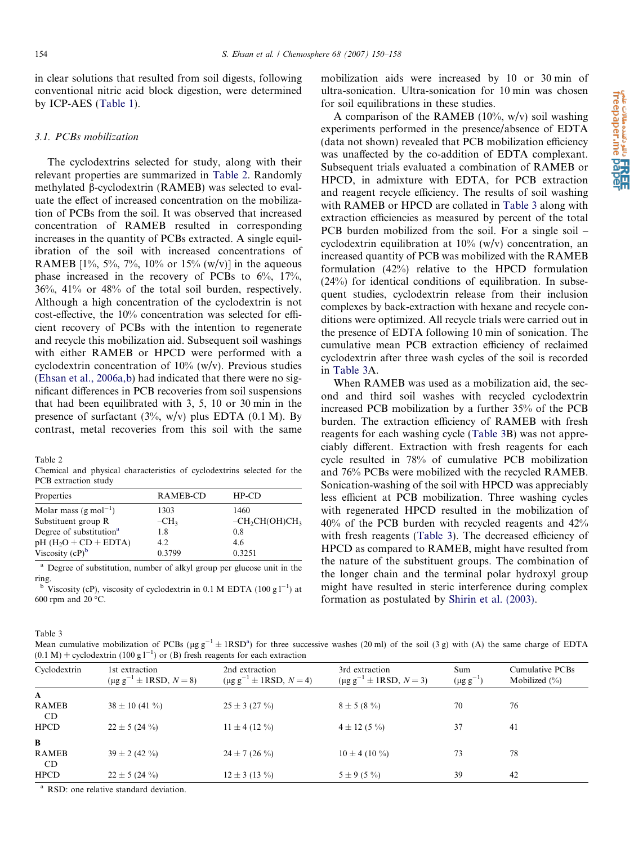<span id="page-4-0"></span>in clear solutions that resulted from soil digests, following conventional nitric acid block digestion, were determined by ICP-AES [\(Table 1\)](#page-2-0).

#### 3.1. PCBs mobilization

The cyclodextrins selected for study, along with their relevant properties are summarized in Table 2. Randomly methylated b-cyclodextrin (RAMEB) was selected to evaluate the effect of increased concentration on the mobilization of PCBs from the soil. It was observed that increased concentration of RAMEB resulted in corresponding increases in the quantity of PCBs extracted. A single equilibration of the soil with increased concentrations of RAMEB  $[1\%, 5\%, 7\%, 10\% \text{ or } 15\% \text{ (w/v)}]$  in the aqueous phase increased in the recovery of PCBs to  $6\%$ ,  $17\%$ , 36%, 41% or 48% of the total soil burden, respectively. Although a high concentration of the cyclodextrin is not cost-effective, the 10% concentration was selected for efficient recovery of PCBs with the intention to regenerate and recycle this mobilization aid. Subsequent soil washings with either RAMEB or HPCD were performed with a cyclodextrin concentration of 10% (w/v). Previous studies [\(Ehsan et al., 2006a,b\)](#page-7-0) had indicated that there were no significant differences in PCB recoveries from soil suspensions that had been equilibrated with 3, 5, 10 or 30 min in the presence of surfactant  $(3\%, w/v)$  plus EDTA  $(0.1 M)$ . By contrast, metal recoveries from this soil with the same

Table 2

Chemical and physical characteristics of cyclodextrins selected for the PCB extraction study

| Properties                          | RAMEB-CD | $HP$ -CD        |
|-------------------------------------|----------|-----------------|
| Molar mass $(g \text{ mol}^{-1})$   | 1303     | 1460            |
| Substituent group R                 | $-CH3$   | $-CH2CH(OH)CH3$ |
| Degree of substitution <sup>a</sup> | 1.8      | 0.8             |
| $pH$ (H <sub>2</sub> O + CD + EDTA) | 4.2      | 4.6             |
| Viscosity $(cP)^b$                  | 0.3799   | 0.3251          |

<sup>a</sup> Degree of substitution, number of alkyl group per glucose unit in the ring.

<sup>b</sup> Viscosity (cP), viscosity of cyclodextrin in 0.1 M EDTA (100 g  $1^{-1}$ ) at 600 rpm and 20 $\,^{\circ}\text{C}$ .

mobilization aids were increased by 10 or 30 min of ultra-sonication. Ultra-sonication for 10 min was chosen for soil equilibrations in these studies.

EREE) اور دهده مقالات علمی<br>freepaper.me

A comparison of the RAMEB  $(10\%, w/v)$  soil washing experiments performed in the presence/absence of EDTA (data not shown) revealed that PCB mobilization efficiency was unaffected by the co-addition of EDTA complexant. Subsequent trials evaluated a combination of RAMEB or HPCD, in admixture with EDTA, for PCB extraction and reagent recycle efficiency. The results of soil washing with RAMEB or HPCD are collated in Table 3 along with extraction efficiencies as measured by percent of the total PCB burden mobilized from the soil. For a single soil – cyclodextrin equilibration at  $10\%$  (w/v) concentration, an increased quantity of PCB was mobilized with the RAMEB formulation (42%) relative to the HPCD formulation (24%) for identical conditions of equilibration. In subsequent studies, cyclodextrin release from their inclusion complexes by back-extraction with hexane and recycle conditions were optimized. All recycle trials were carried out in the presence of EDTA following 10 min of sonication. The cumulative mean PCB extraction efficiency of reclaimed cyclodextrin after three wash cycles of the soil is recorded in Table 3A.

When RAMEB was used as a mobilization aid, the second and third soil washes with recycled cyclodextrin increased PCB mobilization by a further 35% of the PCB burden. The extraction efficiency of RAMEB with fresh reagents for each washing cycle (Table 3B) was not appreciably different. Extraction with fresh reagents for each cycle resulted in 78% of cumulative PCB mobilization and 76% PCBs were mobilized with the recycled RAMEB. Sonication-washing of the soil with HPCD was appreciably less efficient at PCB mobilization. Three washing cycles with regenerated HPCD resulted in the mobilization of 40% of the PCB burden with recycled reagents and 42% with fresh reagents (Table 3). The decreased efficiency of HPCD as compared to RAMEB, might have resulted from the nature of the substituent groups. The combination of the longer chain and the terminal polar hydroxyl group might have resulted in steric interference during complex formation as postulated by [Shirin et al. \(2003\)](#page-8-0).

Table 3

Mean cumulative mobilization of PCBs ( $\mu$ g g<sup>-1</sup> ± 1RSD<sup>a</sup>) for three successive washes (20 ml) of the soil (3 g) with (A) the same charge of EDTA  $(0.1 M)$  + cyclodextrin (100 g l<sup>-1</sup>) or (B) fresh reagents for each extraction

| Cyclodextrin        | 1st extraction<br>$(\mu g g^{-1} \pm 1 RSD, N = 8)$ | 2nd extraction<br>$(\mu g g^{-1} \pm 1 RSD, N = 4)$ | 3rd extraction<br>$(\mu g g^{-1} \pm 1 RSD, N = 3)$ | Sum<br>$(\mu g g^{-1})$ | Cumulative PCBs<br>Mobilized $(\% )$ |
|---------------------|-----------------------------------------------------|-----------------------------------------------------|-----------------------------------------------------|-------------------------|--------------------------------------|
| $\mathbf{A}$        |                                                     |                                                     |                                                     | 70                      |                                      |
| <b>RAMEB</b><br>CD. | $38 \pm 10$ (41 %)                                  | $25 \pm 3$ (27 %)                                   | $8 \pm 5(8\%)$                                      |                         | 76                                   |
| <b>HPCD</b>         | $22 \pm 5(24\%)$                                    | $11 \pm 4$ (12 %)                                   | $4 \pm 12$ (5 %)                                    | 37                      | 41                                   |
| B                   |                                                     |                                                     |                                                     |                         |                                      |
| <b>RAMEB</b><br>CD. | $39 \pm 2 (42 \%)$                                  | $24 \pm 7$ (26 %)                                   | $10 \pm 4$ (10 %)                                   | 73                      | 78                                   |
| <b>HPCD</b>         | $22 \pm 5(24\%)$                                    | $12 \pm 3(13\%)$                                    | $5 \pm 9(5\%)$                                      | 39                      | 42                                   |

<sup>a</sup> RSD: one relative standard deviation.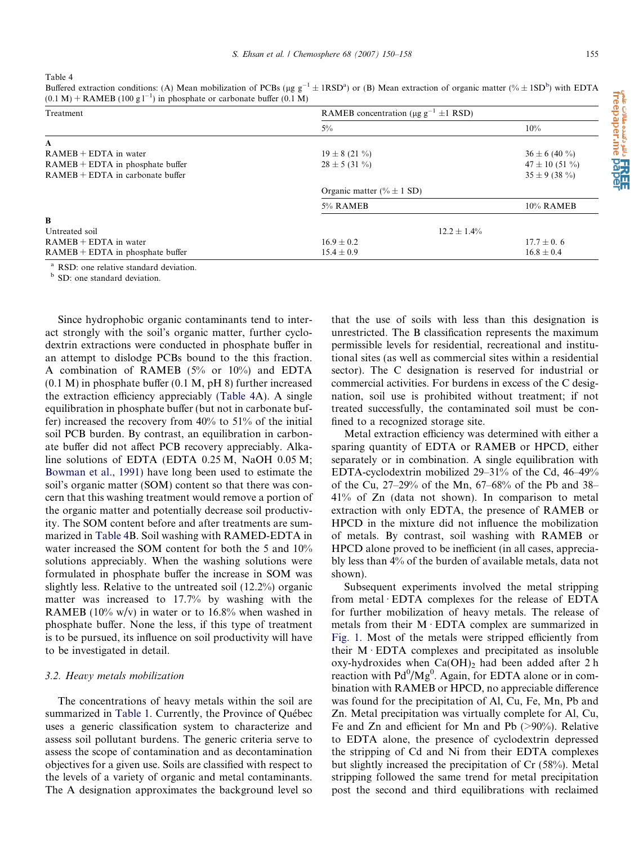Table 4

Buffered extraction conditions: (A) Mean mobilization of PCBs (µg  $g^{-1} \pm 1RSD^a$ ) or (B) Mean extraction of organic matter (%  $\pm 1SD^b$ ) with EDTA  $(0.1 M)$  + RAMEB (100 g l<sup>-1</sup>) in phosphate or carbonate buffer (0.1 M)

| Treatment                          | RAMEB concentration ( $\mu$ g g <sup>-1</sup> ±1 RSD) |                    |  |  |
|------------------------------------|-------------------------------------------------------|--------------------|--|--|
|                                    | $5\%$                                                 | 10%                |  |  |
| A                                  |                                                       |                    |  |  |
| $RAMEB + EDTA$ in water            | $19 \pm 8$ (21 %)                                     | $36 \pm 6$ (40 %)  |  |  |
| $RAMEB + EDTA$ in phosphate buffer | $28 \pm 5 (31 \%)$                                    | $47 \pm 10$ (51 %) |  |  |
| $RAMEB + EDTA$ in carbonate buffer |                                                       | $35 \pm 9$ (38 %)  |  |  |
|                                    | Organic matter (% $\pm$ 1 SD)                         |                    |  |  |
|                                    | 5% RAMEB                                              | 10% RAMEB          |  |  |
| $\bf{B}$                           |                                                       |                    |  |  |
| Untreated soil                     |                                                       | $12.2 \pm 1.4\%$   |  |  |
| $RAMEB + EDTA$ in water            | $16.9 \pm 0.2$                                        | $17.7 \pm 0.6$     |  |  |
| $RAMEB + EDTA$ in phosphate buffer | $15.4 \pm 0.9$                                        | $16.8 \pm 0.4$     |  |  |

<sup>a</sup> RSD: one relative standard deviation.<br><sup>b</sup> SD: one standard deviation.

Since hydrophobic organic contaminants tend to interact strongly with the soil's organic matter, further cyclodextrin extractions were conducted in phosphate buffer in an attempt to dislodge PCBs bound to the this fraction. A combination of RAMEB (5% or 10%) and EDTA (0.1 M) in phosphate buffer (0.1 M, pH 8) further increased the extraction efficiency appreciably (Table 4A). A single equilibration in phosphate buffer (but not in carbonate buffer) increased the recovery from 40% to 51% of the initial soil PCB burden. By contrast, an equilibration in carbonate buffer did not affect PCB recovery appreciably. Alkaline solutions of EDTA (EDTA 0.25 M, NaOH 0.05 M; [Bowman et al., 1991\)](#page-7-0) have long been used to estimate the soil's organic matter (SOM) content so that there was concern that this washing treatment would remove a portion of the organic matter and potentially decrease soil productivity. The SOM content before and after treatments are summarized in Table 4B. Soil washing with RAMED-EDTA in water increased the SOM content for both the 5 and 10% solutions appreciably. When the washing solutions were formulated in phosphate buffer the increase in SOM was slightly less. Relative to the untreated soil (12.2%) organic matter was increased to 17.7% by washing with the RAMEB (10% w/v) in water or to 16.8% when washed in phosphate buffer. None the less, if this type of treatment is to be pursued, its influence on soil productivity will have to be investigated in detail.

#### 3.2. Heavy metals mobilization

The concentrations of heavy metals within the soil are summarized in [Table 1.](#page-2-0) Currently, the Province of Québec uses a generic classification system to characterize and assess soil pollutant burdens. The generic criteria serve to assess the scope of contamination and as decontamination objectives for a given use. Soils are classified with respect to the levels of a variety of organic and metal contaminants. The A designation approximates the background level so that the use of soils with less than this designation is unrestricted. The B classification represents the maximum permissible levels for residential, recreational and institutional sites (as well as commercial sites within a residential sector). The C designation is reserved for industrial or commercial activities. For burdens in excess of the C designation, soil use is prohibited without treatment; if not treated successfully, the contaminated soil must be confined to a recognized storage site.

Metal extraction efficiency was determined with either a sparing quantity of EDTA or RAMEB or HPCD, either separately or in combination. A single equilibration with EDTA-cyclodextrin mobilized 29–31% of the Cd, 46–49% of the Cu, 27–29% of the Mn, 67–68% of the Pb and 38– 41% of Zn (data not shown). In comparison to metal extraction with only EDTA, the presence of RAMEB or HPCD in the mixture did not influence the mobilization of metals. By contrast, soil washing with RAMEB or HPCD alone proved to be inefficient (in all cases, appreciably less than 4% of the burden of available metals, data not shown).

Subsequent experiments involved the metal stripping from metal  $EDTA$  complexes for the release of  $EDTA$ for further mobilization of heavy metals. The release of metals from their  $M$  EDTA complex are summarized in [Fig. 1.](#page-6-0) Most of the metals were stripped efficiently from their  $M$  EDTA complexes and precipitated as insoluble oxy-hydroxides when  $Ca(OH)_2$  had been added after 2 h reaction with  $Pd^{0}/Mg^{0}$ . Again, for EDTA alone or in combination with RAMEB or HPCD, no appreciable difference was found for the precipitation of Al, Cu, Fe, Mn, Pb and Zn. Metal precipitation was virtually complete for Al, Cu, Fe and Zn and efficient for Mn and Pb (>90%). Relative to EDTA alone, the presence of cyclodextrin depressed the stripping of Cd and Ni from their EDTA complexes but slightly increased the precipitation of Cr (58%). Metal stripping followed the same trend for metal precipitation post the second and third equilibrations with reclaimed

**مانات HKEI) او دانلود نواتون ماندی**<br>freepaper.me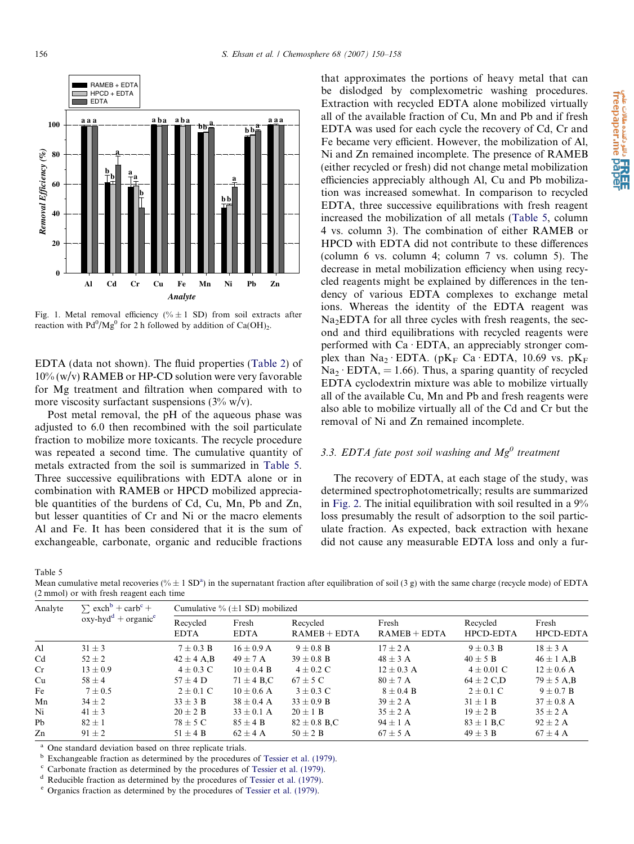<span id="page-6-0"></span>

Fig. 1. Metal removal efficiency (%  $\pm$  1 SD) from soil extracts after reaction with  $Pd^{0}/Mg^{0}$  for 2 h followed by addition of Ca(OH)<sub>2</sub>.

EDTA (data not shown). The fluid properties [\(Table 2](#page-4-0)) of  $10\%$  (w/v) RAMEB or HP-CD solution were very favorable for Mg treatment and filtration when compared with to more viscosity surfactant suspensions  $(3\% \text{ w/v})$ .

Post metal removal, the pH of the aqueous phase was adjusted to 6.0 then recombined with the soil particulate fraction to mobilize more toxicants. The recycle procedure was repeated a second time. The cumulative quantity of metals extracted from the soil is summarized in Table 5. Three successive equilibrations with EDTA alone or in combination with RAMEB or HPCD mobilized appreciable quantities of the burdens of Cd, Cu, Mn, Pb and Zn, but lesser quantities of Cr and Ni or the macro elements Al and Fe. It has been considered that it is the sum of exchangeable, carbonate, organic and reducible fractions

Table 5

Mean cumulative metal recoveries (% $\pm$  1 SD<sup>a</sup>) in the supernatant fraction after equilibration of soil (3 g) with the same charge (recycle mode) of EDTA (2 mmol) or with fresh reagent each time

| Analyte | $\sum$ exch <sup>b</sup> + carb <sup>c</sup> +<br>$oxy$ -hyd <sup>d</sup> + organic <sup>e</sup> | Cumulative % $(\pm 1$ SD) mobilized |                      |                            |                         |                              |                    |
|---------|--------------------------------------------------------------------------------------------------|-------------------------------------|----------------------|----------------------------|-------------------------|------------------------------|--------------------|
|         |                                                                                                  | Recycled<br><b>EDTA</b>             | Fresh<br><b>EDTA</b> | Recycled<br>$RAMEB + EDTA$ | Fresh<br>$RAMEB + EDTA$ | Recycled<br><b>HPCD-EDTA</b> | Fresh<br>HPCD-EDTA |
| Al      | $31 \pm 3$                                                                                       | $7 + 0.3 B$                         | $16 + 0.9$ A         | $9 + 0.8$ B                | $17 \pm 2$ A            | $9 + 0.3 B$                  | $18 \pm 3$ A       |
| Cd      | $52 \pm 2$                                                                                       | $42 \pm 4$ A, B                     | $49 \pm 7$ A         | $39 \pm 0.8$ B             | $48 \pm 3$ A            | $40 \pm 5$ B                 | $46 \pm 1$ A,B     |
| Cr      | $13 \pm 0.9$                                                                                     | $4 \pm 0.3$ C                       | $10 \pm 0.4$ B       | $4 \pm 0.2$ C              | $12 \pm 0.3$ A          | $4 \pm 0.01$ C               | $12 \pm 0.6$ A     |
| Cu      | $58 \pm 4$                                                                                       | $57 \pm 4$ D                        | $71 \pm 4$ B.C       | $67 \pm 5$ C               | $80 \pm 7$ A            | $64 \pm 2$ C,D               | $79 \pm 5$ A,B     |
| Fe      | $7 \pm 0.5$                                                                                      | $2 \pm 0.1$ C                       | $10 \pm 0.6$ A       | $3 \pm 0.3$ C              | $8 \pm 0.4$ B           | $2 \pm 0.1$ C                | $9 \pm 0.7$ B      |
| Mn      | $34 \pm 2$                                                                                       | $33 \pm 3$ B                        | $38 \pm 0.4$ A       | $33 \pm 0.9$ B             | $39 \pm 2$ A            | $31 \pm 1$ B                 | $37 \pm 0.8$ A     |
| Ni      | $41 \pm 3$                                                                                       | $20 \pm 2$ B                        | $33 \pm 0.1$ A       | $20 \pm 1$ B               | $35 \pm 2$ A            | $19 \pm 2 B$                 | $35 \pm 2$ A       |
| Pb      | $82 \pm 1$                                                                                       | $78 \pm 5$ C                        | $85 \pm 4$ B         | $82 \pm 0.8$ B.C           | $94 \pm 1$ A            | $83 \pm 1$ B,C               | $92 \pm 2$ A       |
| Zn      | $91 \pm 2$                                                                                       | $51 \pm 4$ B                        | $62 + 4$ A           | $50 \pm 2$ B               | $67 \pm 5$ A            | $49 + 3 B$                   | $67 + 4$ A         |

 $^{a}$  One standard deviation based on three replicate trials.<br> $^{b}$  Exchangeable fraction as determined by the procedures of Tessier et al. (1979).

<sup>c</sup> Carbonate fraction as determined by the procedures of [Tessier et al. \(1979\).](#page-8-0)<br>d<sup>d</sup> Reducible fraction as determined by the procedures of Tessier et al. (1979).

<sup>e</sup> Organics fraction as determined by the procedures of [Tessier et al. \(1979\)](#page-8-0).

that approximates the portions of heavy metal that can be dislodged by complexometric washing procedures. Extraction with recycled EDTA alone mobilized virtually all of the available fraction of Cu, Mn and Pb and if fresh EDTA was used for each cycle the recovery of Cd, Cr and Fe became very efficient. However, the mobilization of Al, Ni and Zn remained incomplete. The presence of RAMEB (either recycled or fresh) did not change metal mobilization efficiencies appreciably although Al, Cu and Pb mobilization was increased somewhat. In comparison to recycled EDTA, three successive equilibrations with fresh reagent increased the mobilization of all metals (Table 5, column 4 vs. column 3). The combination of either RAMEB or HPCD with EDTA did not contribute to these differences (column 6 vs. column 4; column 7 vs. column 5). The decrease in metal mobilization efficiency when using recycled reagents might be explained by differences in the tendency of various EDTA complexes to exchange metal ions. Whereas the identity of the EDTA reagent was  $Na<sub>2</sub>EDTA$  for all three cycles with fresh reagents, the second and third equilibrations with recycled reagents were performed with  $Ca \cdot EDTA$ , an appreciably stronger complex than  $Na_2 \cdot EDTA$ . (pK<sub>F</sub> Ca · EDTA, 10.69 vs. pK<sub>F</sub>  $Na<sub>2</sub> \cdot EDTA$ , = 1.66). Thus, a sparing quantity of recycled EDTA cyclodextrin mixture was able to mobilize virtually all of the available Cu, Mn and Pb and fresh reagents were also able to mobilize virtually all of the Cd and Cr but the removal of Ni and Zn remained incomplete.

# 3.3. EDTA fate post soil washing and  $Mg^0$  treatment

The recovery of EDTA, at each stage of the study, was determined spectrophotometrically; results are summarized in [Fig. 2](#page-7-0). The initial equilibration with soil resulted in a 9% loss presumably the result of adsorption to the soil particulate fraction. As expected, back extraction with hexane did not cause any measurable EDTA loss and only a fur-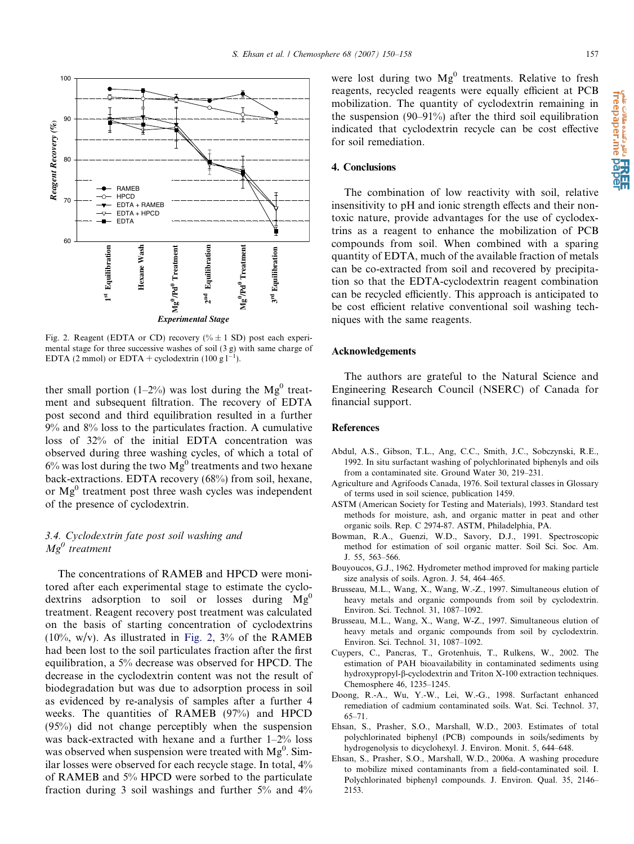<span id="page-7-0"></span>

Fig. 2. Reagent (EDTA or CD) recovery (%  $\pm$  1 SD) post each experimental stage for three successive washes of soil (3 g) with same charge of EDTA (2 mmol) or EDTA + cyclodextrin (100 g  $1^{-1}$ ).

ther small portion (1–2%) was lost during the  $Mg^0$  treatment and subsequent filtration. The recovery of EDTA post second and third equilibration resulted in a further 9% and 8% loss to the particulates fraction. A cumulative loss of 32% of the initial EDTA concentration was observed during three washing cycles, of which a total of  $6\%$  was lost during the two  $Mg<sup>0</sup>$  treatments and two hexane back-extractions. EDTA recovery (68%) from soil, hexane, or  $Mg<sup>0</sup>$  treatment post three wash cycles was independent of the presence of cyclodextrin.

# 3.4. Cyclodextrin fate post soil washing and  $Mg^0$  treatment

The concentrations of RAMEB and HPCD were monitored after each experimental stage to estimate the cyclodextrins adsorption to soil or losses during  $Mg^0$ treatment. Reagent recovery post treatment was calculated on the basis of starting concentration of cyclodextrins  $(10\%, w/v)$ . As illustrated in Fig. 2, 3% of the RAMEB had been lost to the soil particulates fraction after the first equilibration, a 5% decrease was observed for HPCD. The decrease in the cyclodextrin content was not the result of biodegradation but was due to adsorption process in soil as evidenced by re-analysis of samples after a further 4 weeks. The quantities of RAMEB (97%) and HPCD (95%) did not change perceptibly when the suspension was back-extracted with hexane and a further 1–2% loss was observed when suspension were treated with  $Mg^0$ . Similar losses were observed for each recycle stage. In total, 4% of RAMEB and 5% HPCD were sorbed to the particulate fraction during 3 soil washings and further 5% and 4% were lost during two  $Mg<sup>0</sup>$  treatments. Relative to fresh reagents, recycled reagents were equally efficient at PCB mobilization. The quantity of cyclodextrin remaining in the suspension (90–91%) after the third soil equilibration indicated that cyclodextrin recycle can be cost effective for soil remediation.

# 4. Conclusions

The combination of low reactivity with soil, relative insensitivity to pH and ionic strength effects and their nontoxic nature, provide advantages for the use of cyclodextrins as a reagent to enhance the mobilization of PCB compounds from soil. When combined with a sparing quantity of EDTA, much of the available fraction of metals can be co-extracted from soil and recovered by precipitation so that the EDTA-cyclodextrin reagent combination can be recycled efficiently. This approach is anticipated to be cost efficient relative conventional soil washing techniques with the same reagents.

# Acknowledgements

The authors are grateful to the Natural Science and Engineering Research Council (NSERC) of Canada for financial support.

# References

- Abdul, A.S., Gibson, T.L., Ang, C.C., Smith, J.C., Sobczynski, R.E., 1992. In situ surfactant washing of polychlorinated biphenyls and oils from a contaminated site. Ground Water 30, 219–231.
- Agriculture and Agrifoods Canada, 1976. Soil textural classes in Glossary of terms used in soil science, publication 1459.
- ASTM (American Society for Testing and Materials), 1993. Standard test methods for moisture, ash, and organic matter in peat and other organic soils. Rep. C 2974-87. ASTM, Philadelphia, PA.
- Bowman, R.A., Guenzi, W.D., Savory, D.J., 1991. Spectroscopic method for estimation of soil organic matter. Soil Sci. Soc. Am. J. 55, 563–566.
- Bouyoucos, G.J., 1962. Hydrometer method improved for making particle size analysis of soils. Agron. J. 54, 464–465.
- Brusseau, M.L., Wang, X., Wang, W.-Z., 1997. Simultaneous elution of heavy metals and organic compounds from soil by cyclodextrin. Environ. Sci. Technol. 31, 1087–1092.
- Brusseau, M.L., Wang, X., Wang, W-Z., 1997. Simultaneous elution of heavy metals and organic compounds from soil by cyclodextrin. Environ. Sci. Technol. 31, 1087–1092.
- Cuypers, C., Pancras, T., Grotenhuis, T., Rulkens, W., 2002. The estimation of PAH bioavailability in contaminated sediments using hydroxypropyl-b-cyclodextrin and Triton X-100 extraction techniques. Chemosphere 46, 1235–1245.
- Doong, R.-A., Wu, Y.-W., Lei, W.-G., 1998. Surfactant enhanced remediation of cadmium contaminated soils. Wat. Sci. Technol. 37, 65–71.
- Ehsan, S., Prasher, S.O., Marshall, W.D., 2003. Estimates of total polychlorinated biphenyl (PCB) compounds in soils/sediments by hydrogenolysis to dicyclohexyl. J. Environ. Monit. 5, 644–648.
- Ehsan, S., Prasher, S.O., Marshall, W.D., 2006a. A washing procedure to mobilize mixed contaminants from a field-contaminated soil. I. Polychlorinated biphenyl compounds. J. Environ. Qual. 35, 2146– 2153.